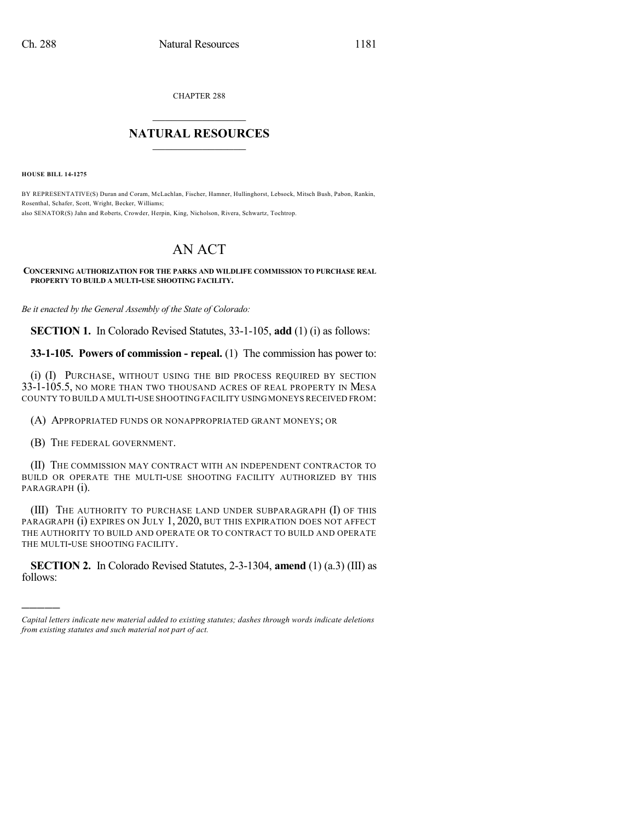CHAPTER 288  $\mathcal{L}_\text{max}$  . The set of the set of the set of the set of the set of the set of the set of the set of the set of the set of the set of the set of the set of the set of the set of the set of the set of the set of the set

## **NATURAL RESOURCES**  $\frac{1}{\sqrt{2}}$  , where  $\frac{1}{\sqrt{2}}$  ,  $\frac{1}{\sqrt{2}}$  ,  $\frac{1}{\sqrt{2}}$

**HOUSE BILL 14-1275**

BY REPRESENTATIVE(S) Duran and Coram, McLachlan, Fischer, Hamner, Hullinghorst, Lebsock, Mitsch Bush, Pabon, Rankin, Rosenthal, Schafer, Scott, Wright, Becker, Williams; also SENATOR(S) Jahn and Roberts, Crowder, Herpin, King, Nicholson, Rivera, Schwartz, Tochtrop.

## AN ACT

## **CONCERNING AUTHORIZATION FOR THE PARKS AND WILDLIFE COMMISSION TO PURCHASE REAL PROPERTY TO BUILD A MULTI-USE SHOOTING FACILITY.**

*Be it enacted by the General Assembly of the State of Colorado:*

**SECTION 1.** In Colorado Revised Statutes, 33-1-105, **add** (1) (i) as follows:

**33-1-105. Powers of commission - repeal.** (1) The commission has power to:

(i) (I) PURCHASE, WITHOUT USING THE BID PROCESS REQUIRED BY SECTION 33-1-105.5, NO MORE THAN TWO THOUSAND ACRES OF REAL PROPERTY IN MESA COUNTY TO BUILD A MULTI-USE SHOOTING FACILITY USINGMONEYSRECEIVED FROM:

(A) APPROPRIATED FUNDS OR NONAPPROPRIATED GRANT MONEYS; OR

(B) THE FEDERAL GOVERNMENT.

)))))

(II) THE COMMISSION MAY CONTRACT WITH AN INDEPENDENT CONTRACTOR TO BUILD OR OPERATE THE MULTI-USE SHOOTING FACILITY AUTHORIZED BY THIS PARAGRAPH (i).

(III) THE AUTHORITY TO PURCHASE LAND UNDER SUBPARAGRAPH (I) OF THIS PARAGRAPH (i) EXPIRES ON JULY 1, 2020, BUT THIS EXPIRATION DOES NOT AFFECT THE AUTHORITY TO BUILD AND OPERATE OR TO CONTRACT TO BUILD AND OPERATE THE MULTI-USE SHOOTING FACILITY.

**SECTION 2.** In Colorado Revised Statutes, 2-3-1304, **amend** (1) (a.3) (III) as follows:

*Capital letters indicate new material added to existing statutes; dashes through words indicate deletions from existing statutes and such material not part of act.*